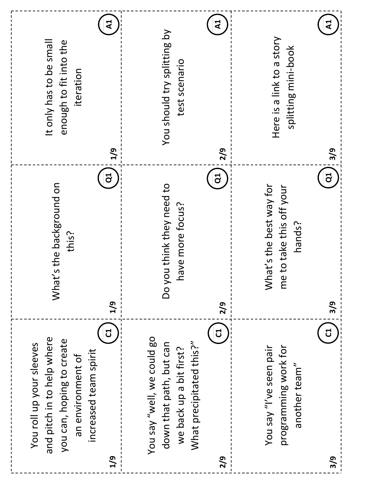| ব<br>It only has to be small<br>enough to fit into the<br>iteration<br>1/9<br>ິອ                                                              | $\mathbf{z}$<br>You should try splitting by<br>test scenario<br>2/9<br>$\overline{c}$                                    | ব<br>Here is a link to a story<br>splitting mini-book<br>3/9<br>$\overline{d}$          |
|-----------------------------------------------------------------------------------------------------------------------------------------------|--------------------------------------------------------------------------------------------------------------------------|-----------------------------------------------------------------------------------------|
| What's the background on<br>this?<br>1/9                                                                                                      | ou think they need to<br>have more focus?<br>Й OU<br>2/9                                                                 | What's the best way for<br>me to take this off your<br>hands?<br>3/9                    |
| J<br>and pitch in to help where<br>you can, hoping to create<br>You roll up your sleeves<br>increased team spirit<br>an environment of<br>1/9 | J<br>You say "well, we could go<br>What precipitated this?"<br>down that path, but can<br>we back up a bit first?<br>2/9 | បី<br>You say "I've seen pair<br>programming work for<br>another team"<br>$\frac{3}{9}$ |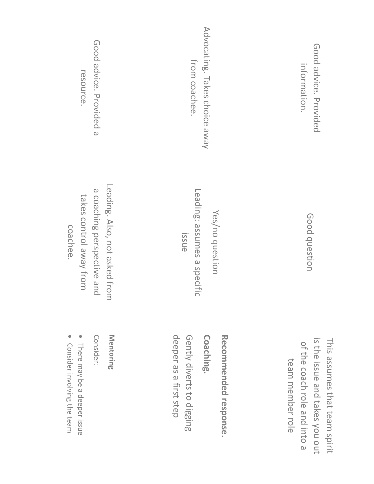| Good advice. Provided a                                                                            | Advocating. Takes choice away                                 | Good advice. Provided          |
|----------------------------------------------------------------------------------------------------|---------------------------------------------------------------|--------------------------------|
| resource.                                                                                          | from coachee.                                                 | information.                   |
| Leading. Also, not asked from<br>a coaching perspective and<br>takes control away from<br>coachee. | Leading: assumes a specific<br>Yes/no question<br><b>ISSU</b> | Good question                  |
| Mentoring                                                                                          | deeper as a first step                                        | is the issue and takes you out |
| Consider:                                                                                          | Gently diverts to digging                                     | This assumes that team spirit  |
| There may be a deeper issue                                                                        | Coaching.                                                     | of the coach role and into a   |
| Consider involving the team                                                                        | Recommended response.                                         | team member role               |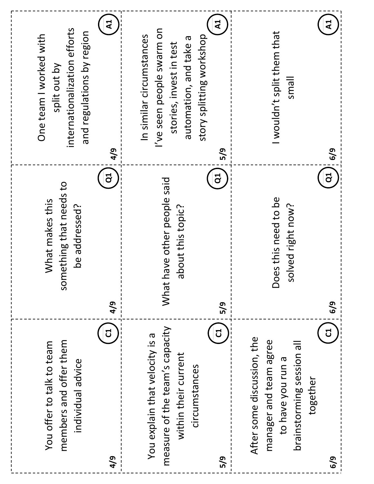| $\mathbf{z}$<br>ব<br>wouldn't split them that<br>story splitting workshop<br>automation, and take a<br>stories, invest in test<br>llems<br>5/9<br>6/9 | ິອ<br>J<br>Does this need to be<br>solved right now?<br>about this topic?<br>6/9<br>5/9 | J<br>ರ<br>After some discussion, the<br>manager and team agree<br>brainstorming session all<br>within their current<br>to have you run a<br>circumstances<br>together |
|-------------------------------------------------------------------------------------------------------------------------------------------------------|-----------------------------------------------------------------------------------------|-----------------------------------------------------------------------------------------------------------------------------------------------------------------------|
| I've seen people swarm on<br>In similar circumstances                                                                                                 | have other people said<br>What                                                          | measure of the team's capacity<br>You explain that velocity is a                                                                                                      |
| ${\sf A}$<br>4/9                                                                                                                                      | ටි<br>4/9                                                                               | J                                                                                                                                                                     |
| internationalization efforts<br>and regulations by region<br>One team I worked with<br>split out by                                                   | something that needs to<br>What makes this<br>be addressed?                             | members and offer them<br>You offer to talk to team<br>individual advice                                                                                              |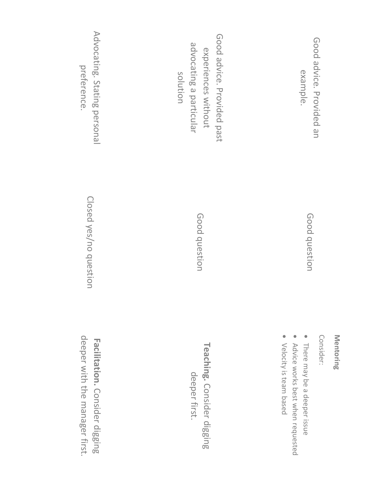Mentoring **Mentoring**

Consider: Consider:

Good question

Good question

Good advice. Provided an

Good advice. Provided an

example.

• There may be a deeper issue There may be a deeper issue

 $\bullet$ Advice works best when requested Advice works best when requested

• Velocity is team based Velocity is team based

Good advice. Provided past Good advice. Provided past advocating a particular advocating a particular experiences without experiences without solution

> Good question Good question

**Teaching.** deeper first. deeper first. Consider digging

Advocating. Stating personal Advocating. preference. preference. Stating personal

> Closed yes/no question Closed yes/no question

deeper with the manager first. deeper with the manager first.Facilitation. Consider digging **Facilitation.** Consider digging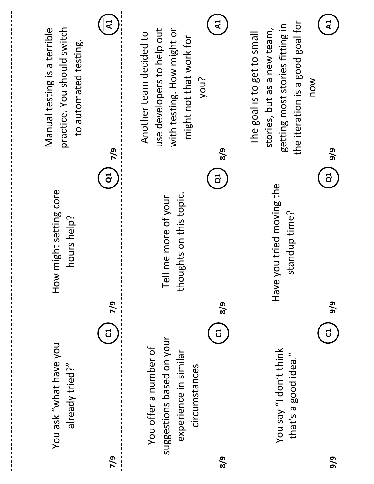| $\mathsf{A}1$<br>practice. You should switch<br>Manual testing is a terrible<br>to automated testing.<br>7/9<br>JÓ | $\mathbf{A}$<br>with testing. How might or<br>use developers to help out<br>Another team decided to<br>might not that work for<br>you?<br>8/9<br>ទី | $\mathbf{A}$ <sup>1</sup><br>the iteration is a good goal for<br>getting most stories fitting in<br>stories, but as a new team,<br>The goal is to get to small<br>NOW<br>9/9<br>$\overline{d}$ |
|--------------------------------------------------------------------------------------------------------------------|-----------------------------------------------------------------------------------------------------------------------------------------------------|------------------------------------------------------------------------------------------------------------------------------------------------------------------------------------------------|
| How might setting core<br>hours help?<br>7/9                                                                       | thoughts on this topic.<br>Tell me more of your<br>8/9                                                                                              | you tried moving the<br>standup time?<br>Have<br>9/9                                                                                                                                           |
| ដ<br>You ask "what have you<br>already tried?"<br>7/9                                                              | ರ<br>suggestions based on your<br>You offer a number of<br>experience in similar<br>circumstances<br>8/9                                            | ដ<br>You say "I don't think<br>that's a good idea."<br>9/9                                                                                                                                     |